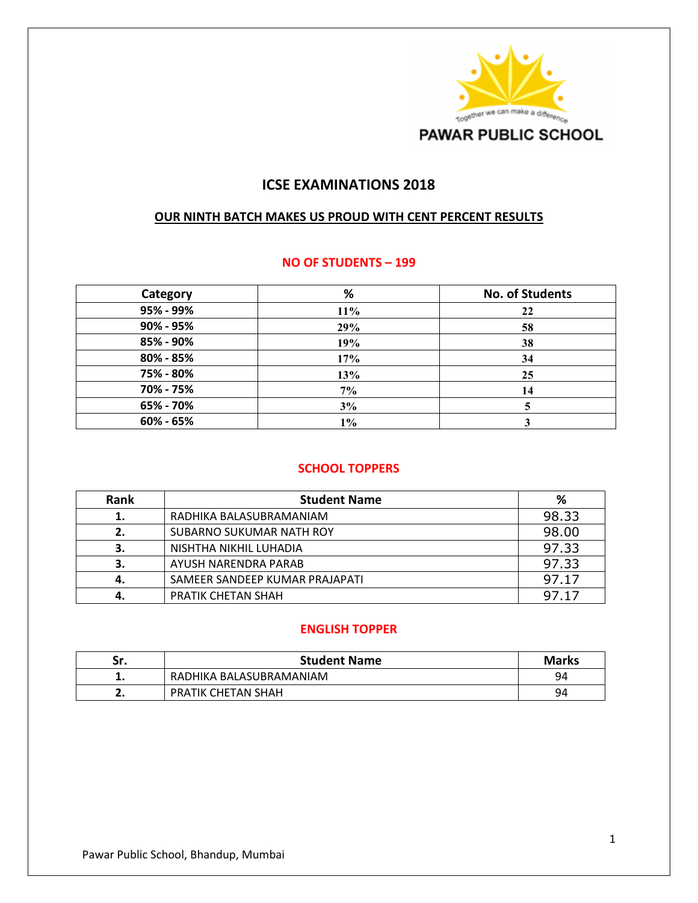

# **ICSE EXAMINATIONS 2018**

#### **OUR NINTH BATCH MAKES US PROUD WITH CENT PERCENT RESULTS**

#### **NO OF STUDENTS – 199**

| Category  | $\%$   | <b>No. of Students</b> |
|-----------|--------|------------------------|
| 95% - 99% | $11\%$ | 22                     |
| 90% - 95% | 29%    | 58                     |
| 85% - 90% | 19%    | 38                     |
| 80% - 85% | 17%    | 34                     |
| 75% - 80% | 13%    | 25                     |
| 70% - 75% | 7%     | 14                     |
| 65% - 70% | 3%     |                        |
| 60% - 65% | 1%     |                        |

#### **SCHOOL TOPPERS**

| Rank | <b>Student Name</b>            | %     |
|------|--------------------------------|-------|
| 1.   | RADHIKA BALASUBRAMANIAM        | 98.33 |
| 2.   | SUBARNO SUKUMAR NATH ROY       | 98.00 |
| з.   | NISHTHA NIKHIL LUHADIA         | 97.33 |
| З.   | AYUSH NARENDRA PARAB           | 97.33 |
| 4.   | SAMEER SANDEEP KUMAR PRAJAPATI | 97.17 |
| 4.   | PRATIK CHETAN SHAH             | 97.17 |

#### **ENGLISH TOPPER**

| Sr. | <b>Student Name</b>     | <b>Marks</b> |
|-----|-------------------------|--------------|
|     | RADHIKA BALASUBRAMANIAM | 94           |
| ـ.  | PRATIK CHETAN SHAH      | 94           |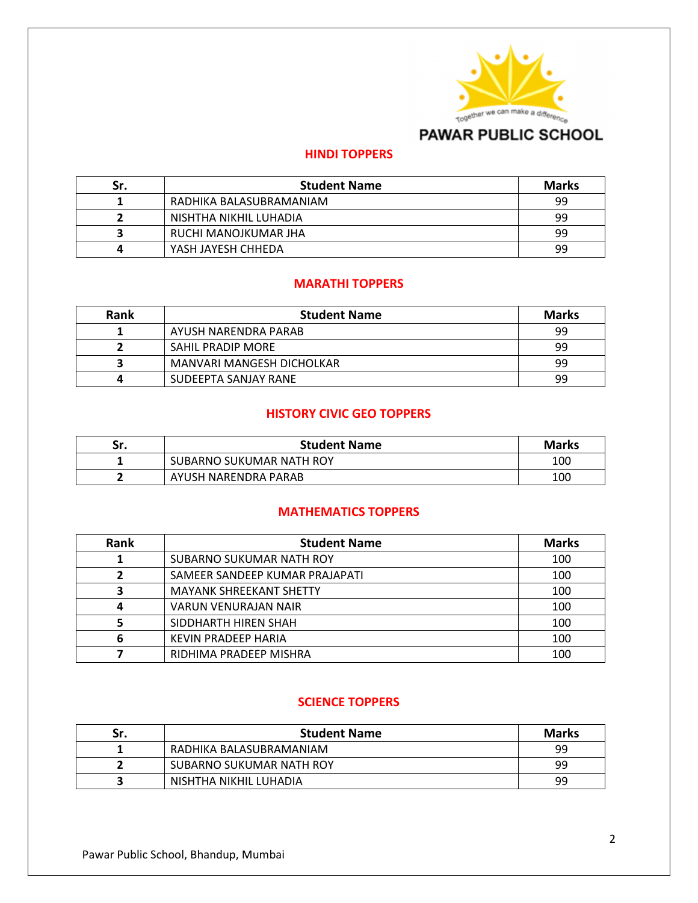

# **PAWAR PUBLIC SCHOOL**

### **HINDI TOPPERS**

| Sr. | <b>Student Name</b>     | <b>Marks</b> |
|-----|-------------------------|--------------|
|     | RADHIKA BALASUBRAMANIAM | 99           |
|     | NISHTHA NIKHIL LUHADIA  | 99           |
|     | RUCHI MANOJKUMAR JHA    | 99           |
| 4   | YASH JAYESH CHHEDA      | 99           |

### **MARATHI TOPPERS**

| Rank | <b>Student Name</b>       | <b>Marks</b> |
|------|---------------------------|--------------|
|      | AYUSH NARENDRA PARAB      | 99           |
|      | SAHIL PRADIP MORE         | 99           |
|      | MANVARI MANGESH DICHOLKAR | 99           |
|      | SUDEEPTA SANJAY RANE      | 99           |

### **HISTORY CIVIC GEO TOPPERS**

| Sr. | <b>Student Name</b>      | <b>Marks</b> |
|-----|--------------------------|--------------|
|     | SUBARNO SUKUMAR NATH ROY | 100          |
|     | AYUSH NARENDRA PARAB     | 100          |

### **MATHEMATICS TOPPERS**

| Rank | <b>Student Name</b>            | <b>Marks</b> |
|------|--------------------------------|--------------|
|      | SUBARNO SUKUMAR NATH ROY       | 100          |
|      | SAMEER SANDEEP KUMAR PRAJAPATI | 100          |
|      | <b>MAYANK SHREEKANT SHETTY</b> | 100          |
| 4    | <b>VARUN VENURAJAN NAIR</b>    | 100          |
|      | SIDDHARTH HIREN SHAH           | 100          |
| 6    | <b>KEVIN PRADEEP HARIA</b>     | 100          |
|      | RIDHIMA PRADEEP MISHRA         | 100          |

## **SCIENCE TOPPERS**

| Sr. | <b>Student Name</b>      | <b>Marks</b> |
|-----|--------------------------|--------------|
|     | RADHIKA BALASUBRAMANIAM  | 99           |
|     | SUBARNO SUKUMAR NATH ROY | 99           |
|     | NISHTHA NIKHIL LUHADIA   | 99           |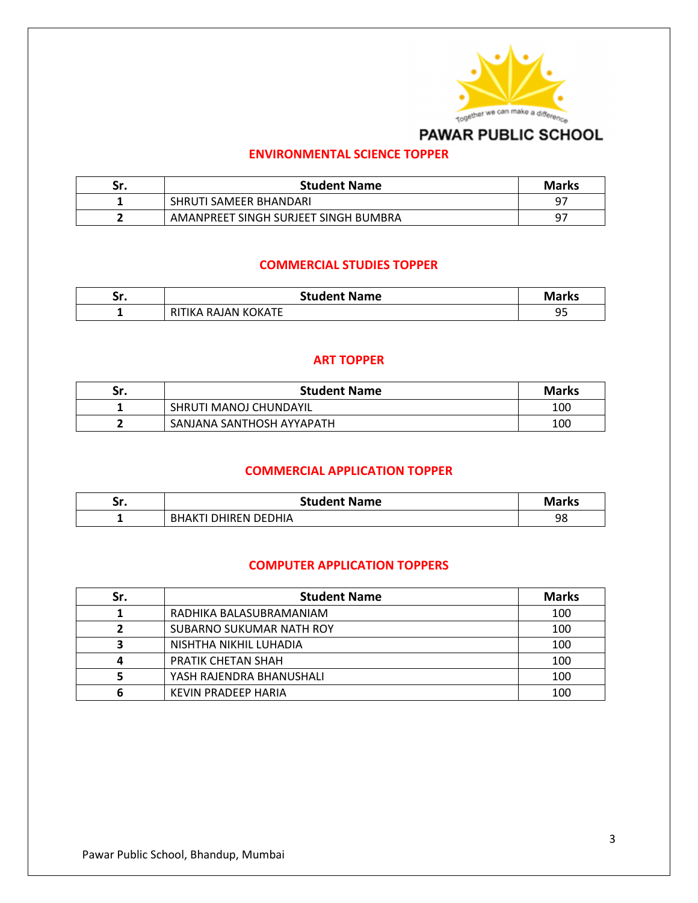

# PAWAR PUBLIC SCHOOL

## **ENVIRONMENTAL SCIENCE TOPPER**

| Sr. | <b>Student Name</b>                  | <b>Marks</b> |
|-----|--------------------------------------|--------------|
|     | SHRUTI SAMEER BHANDARI               | <b>Q7</b>    |
|     | AMANPREET SINGH SURJEET SINGH BUMBRA | 97           |

### **COMMERCIAL STUDIES TOPPER**

| . .<br>JI. | <b>Student Name</b>      | <b>Marks</b>   |
|------------|--------------------------|----------------|
|            | . RAJAN KOKATE<br>RITIKA | α۵<br><u>-</u> |

### **ART TOPPER**

| Sr. | <b>Student Name</b>       | <b>Marks</b> |
|-----|---------------------------|--------------|
|     | SHRUTI MANOJ CHUNDAYIL    | 100          |
|     | SANJANA SANTHOSH AYYAPATH | 100          |

## **COMMERCIAL APPLICATION TOPPER**

| Sr. | <b>Student Name</b>          | <b>Marks</b> |
|-----|------------------------------|--------------|
|     | DHIREN DEDHIA<br><b>RHAK</b> | 98           |

### **COMPUTER APPLICATION TOPPERS**

| Sr. | <b>Student Name</b>        | <b>Marks</b> |
|-----|----------------------------|--------------|
|     | RADHIKA BALASUBRAMANIAM    | 100          |
|     | SUBARNO SUKUMAR NATH ROY   | 100          |
|     | NISHTHA NIKHIL LUHADIA     | 100          |
| 4   | PRATIK CHETAN SHAH         | 100          |
|     | YASH RAJENDRA BHANUSHALI   | 100          |
|     | <b>KEVIN PRADEEP HARIA</b> | 100          |